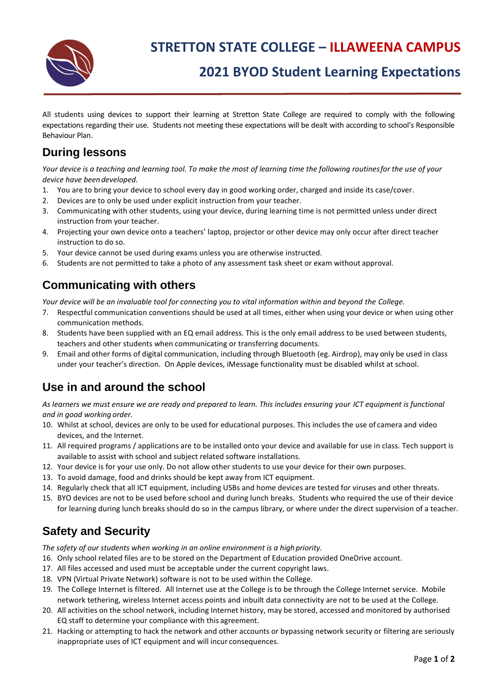

# **2021 BYOD Student Learning Expectations**

All students using devices to support their learning at Stretton State College are required to comply with the following expectations regarding their use. Students not meeting these expectations will be dealt with according to school's Responsible Behaviour Plan.

#### **During lessons**

*Your device is a teaching and learning tool. To make the most of learning time the following routinesfor the use of your device have been developed.*

- 1. You are to bring your device to school every day in good working order, charged and inside its case/cover.
- 2. Devices are to only be used under explicit instruction from your teacher.
- 3. Communicating with other students, using your device, during learning time is not permitted unless under direct instruction from your teacher.
- 4. Projecting your own device onto a teachers' laptop, projector or other device may only occur after direct teacher instruction to do so.
- 5. Your device cannot be used during exams unless you are otherwise instructed.
- 6. Students are not permitted to take a photo of any assessment task sheet or exam without approval.

#### **Communicating with others**

*Your device will be an invaluable tool for connecting you to vital information within and beyond the College.*

- 7. Respectful communication conventions should be used at all times, either when using your device or when using other communication methods.
- 8. Students have been supplied with an EQ email address. This is the only email address to be used between students, teachers and other students when communicating or transferring documents.
- 9. Email and other forms of digital communication, including through Bluetooth (eg. Airdrop), may only be used in class under your teacher's direction. On Apple devices, iMessage functionality must be disabled whilst at school.

## **Use in and around the school**

*As learners we must ensure we are ready and prepared to learn. This includes ensuring your ICT equipment is functional and in good working order.*

- 10. Whilst at school, devices are only to be used for educational purposes. This includes the use of camera and video devices, and the Internet.
- 11. All required programs / applications are to be installed onto your device and available for use in class. Tech support is available to assist with school and subject related software installations.
- 12. Your device is for your use only. Do not allow other students to use your device for their own purposes.
- 13. To avoid damage, food and drinks should be kept away from ICT equipment.
- 14. Regularly check that all ICT equipment, including USBs and home devices are tested for viruses and other threats.
- 15. BYO devices are not to be used before school and during lunch breaks. Students who required the use of their device for learning during lunch breaks should do so in the campus library, or where under the direct supervision of a teacher.

## **Safety and Security**

The safety of our students when working in an online environment is a high priority.

- 16. Only school related files are to be stored on the Department of Education provided OneDrive account.
- 17. All files accessed and used must be acceptable under the current copyright laws.
- 18. VPN (Virtual Private Network) software is not to be used within the College.
- 19. The College Internet is filtered. All Internet use at the College is to be through the College Internet service. Mobile network tethering, wireless Internet access points and inbuilt data connectivity are not to be used at the College.
- 20. All activities on the school network, including Internet history, may be stored, accessed and monitored by authorised EQ staff to determine your compliance with this agreement.
- 21. Hacking or attempting to hack the network and other accounts or bypassing network security or filtering are seriously inappropriate uses of ICT equipment and will incur consequences.